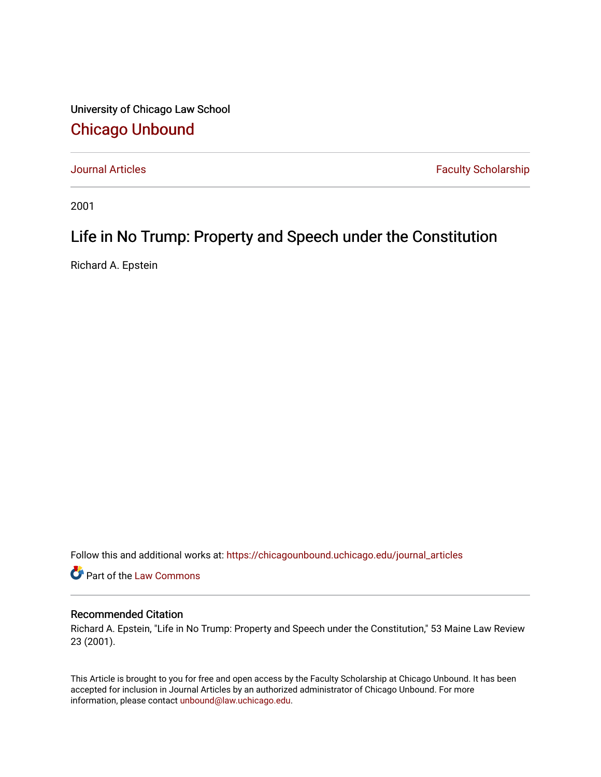University of Chicago Law School [Chicago Unbound](https://chicagounbound.uchicago.edu/)

[Journal Articles](https://chicagounbound.uchicago.edu/journal_articles) **Faculty Scholarship Faculty Scholarship** 

2001

# Life in No Trump: Property and Speech under the Constitution

Richard A. Epstein

Follow this and additional works at: [https://chicagounbound.uchicago.edu/journal\\_articles](https://chicagounbound.uchicago.edu/journal_articles?utm_source=chicagounbound.uchicago.edu%2Fjournal_articles%2F1264&utm_medium=PDF&utm_campaign=PDFCoverPages) 

Part of the [Law Commons](http://network.bepress.com/hgg/discipline/578?utm_source=chicagounbound.uchicago.edu%2Fjournal_articles%2F1264&utm_medium=PDF&utm_campaign=PDFCoverPages)

### Recommended Citation

Richard A. Epstein, "Life in No Trump: Property and Speech under the Constitution," 53 Maine Law Review 23 (2001).

This Article is brought to you for free and open access by the Faculty Scholarship at Chicago Unbound. It has been accepted for inclusion in Journal Articles by an authorized administrator of Chicago Unbound. For more information, please contact [unbound@law.uchicago.edu](mailto:unbound@law.uchicago.edu).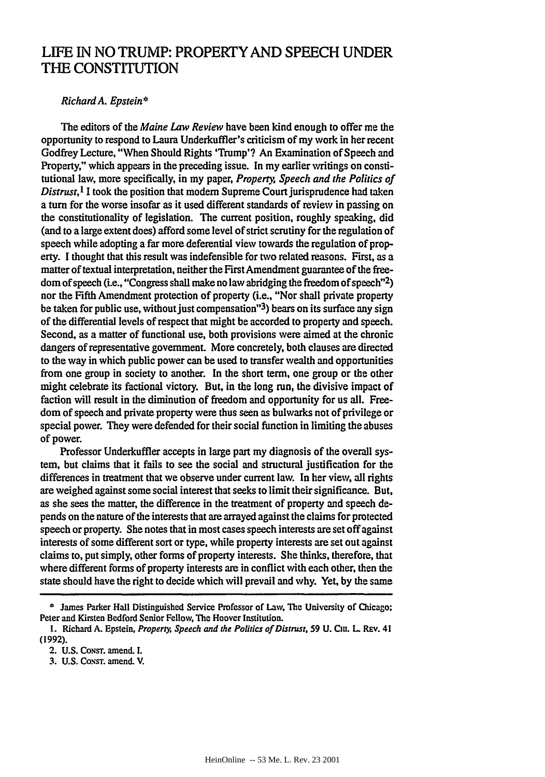## **LIFE IN NO** TRUMP: PROPERTY **AND SPEECH UNDER** THE CONSTITUTION

### *Richard A. Epstein\**

The editors of the *Maine Law Review* have been kind enough to offer me the opportunity to respond to Laura Underkuffler's criticism of my work in her recent Godfrey Lecture, "When Should Rights 'Trump'? An Examination of Speech and Property," which appears in the preceding issue. In my earlier writings on constitutional law, more specifically, in my paper, *Property, Speech and the Politics of Distrust*,<sup>1</sup> I took the position that modern Supreme Court jurisprudence had taken a turn for the worse insofar as it used different standards of review in passing on the constitutionality of legislation. The current position, roughly speaking, did (and to a large extent does) afford some level of strict scrutiny for the regulation of speech while adopting a far more deferential view towards the regulation of property. I thought that this result was indefensible for two related reasons. First, as a matter of textual interpretation, neither the First Amendment guarantee of the freedom of speech (i.e., "Congress shall make no law abridging the freedom of speech"2) nor the Fifth Amendment protection of property (i.e., "Nor shall private property be taken for public use, without just compensation"'3) bears on its surface any sign of the differential levels of respect that might be accorded to property and speech. Second, as a matter of functional use, both provisions were aimed at the chronic dangers of representative government. More concretely, both clauses are directed to the way in which public power can be used to transfer wealth and opportunities from one group in society to another. In the short term, one group or the other might celebrate its factional victory. But, in the long run, the divisive impact of faction will result in the diminution of freedom and opportunity for us all. Freedom of speech and private property were thus seen as bulwarks not of privilege or special power. They were defended for their social function in limiting the abuses of power.

Professor Underkuffler accepts in large part my diagnosis of the overall system, but claims that it fails to see the social and structural justification for the differences in treatment that we observe under current law. In her view, all rights are weighed against some social interest that seeks to limit their significance. But, as she sees the matter, the difference in the treatment of property and speech depends on the nature of the interests that are arrayed against the claims for protected speech or property. She notes that in most cases speech interests are set off against interests of some different sort or type, while property interests are set out against claims to, put simply, other forms of property interests. She thinks, therefore, that where different forms of property interests are in conflict with each other, then the state should have the right to decide which will prevail and why. Yet, **by** the same

**<sup>\*</sup>** James Parker Hall Distinguished Service Professor of Law, **The** University of Chicago: Peter and Kirsten Bedford Senior Fellow, The Hoover Institution.

**I.** Richard **A.** Epstein, *Property, Speech and the Poltics of Distrusr,* **59 U.** Ciu. L **Rv.** 41 **(1992).**

<sup>2.</sup> U.S. Const. amend. I.

**<sup>3.</sup>** U.S. **CoNsT.** amend. V.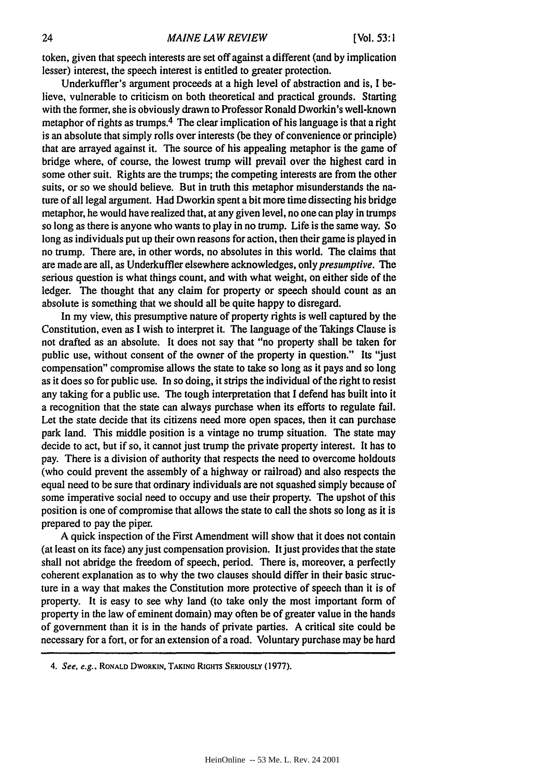token, given that speech interests are set off against a different (and by implication lesser) interest, the speech interest is entitled to greater protection.

Underkuffler's argument proceeds at a high level of abstraction and is, I believe, vulnerable to criticism on both theoretical and practical grounds. Starting with the former, she is obviously drawn to Professor Ronald Dworkin's well-known metaphor of rights as trumps.<sup>4</sup> The clear implication of his language is that a right is an absolute that simply rolls over interests (be they of convenience or principle) that are arrayed against it. The source of his appealing metaphor is the game of bridge where, of course, the lowest trump will prevail over the highest card in some other suit. Rights are the trumps; the competing interests are from the other suits, or so we should believe. But in truth this metaphor misunderstands the nature of all legal argument. Had Dworkin spent a bit more time dissecting his bridge metaphor, he would have realized that, at any given level, no one can play in trumps so long as there is anyone who wants to play in no trump. Life is the same way. So long as individuals put up their own reasons for action, then their game is played in no trump. There are, in other words, no absolutes in this world. The claims that are made are all, as Underkuffler elsewhere acknowledges, only presumptive. *The* serious question is what things count, and with what weight, on either side of the ledger. The thought that any claim for property or speech should count as an absolute is something that we should all be quite happy to disregard.

In my view, this presumptive nature of property rights is well captured by the Constitution, even as I wish to interpret it. The language of the Takings Clause is not drafted as an absolute. It does not say that "no property shall be taken for public use, without consent of the owner of the property in question." Its "just compensation" compromise allows the state to take so long as it pays and so long as it does so for public use. In so doing, it strips the individual of the right to resist any taking for a public use. The tough interpretation that I defend has built into it a recognition that the state can always purchase when its efforts to regulate fail. Let the state decide that its citizens need more open spaces, then it can purchase park land. This middle position is a vintage no trump situation. The state may decide to act, but if so, it cannot just trump the private property interest. It has to pay. There is a division of authority that respects the need to overcome holdouts (who could prevent the assembly of a highway or railroad) and also respects the equal need to be sure that ordinary individuals are not squashed simply because of some imperative social need to occupy and use their property. The upshot of this position is one of compromise that allows the state to call the shots so long as it is prepared to pay the piper.

A quick inspection of the First Amendment will show that it does not contain (at least on its face) any just compensation provision. It just provides that the state shall not abridge the freedom of speech, period. There is, moreover, a perfectly coherent explanation as to why the two clauses should differ in their basic structure in a way that makes the Constitution more protective of speech than it is of property. It is easy to see why land (to take only the most important form of property in the law of eminent domain) may often be of greater value in the hands of government than it is in the hands of private parties. A critical site could be necessary for a fort, or for an extension of a road. Voluntary purchase may be hard

*<sup>4.</sup>* See, e.g., RONALD DWORKIN, TAKING RIGHTS SERIOUSLY (1977).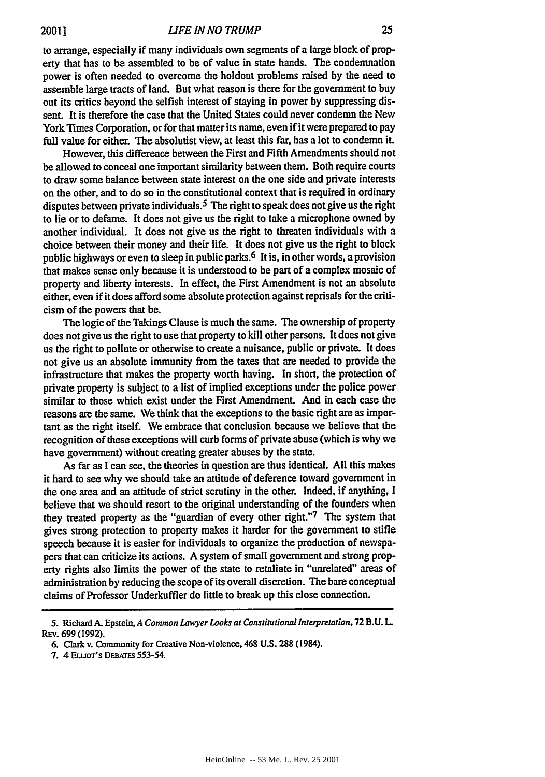to arrange, especially if many individuals own segments of a large block of property that has to be assembled to be of value in state hands. The condemnation power is often needed to overcome the holdout problems raised **by** the need to assemble large tracts of land. But what reason is there for the government to buy out its critics beyond the selfish interest of staying in power by suppressing dissent. It is therefore the case that the United States could never condemn the New York Times Corporation, or for that matter its name, even if it were prepared to pay full value for either. The absolutist view, at least this far, has a lot to condemn it.

However, this difference between the First and Fifth Amendments should not be allowed to conceal one important similarity between them. Both require courts to draw some balance between state interest on the one side and private interests on the other, and to do so in the constitutional context that is required in ordinary disputes between private individuals.<sup>5</sup> The right to speak does not give us the right to lie or to defame. It does not give us the right to take a microphone owned by another individual. It does not give us the right to threaten individuals with a choice between their money and their life. It does not give us the right to block public highways or even to sleep in public parks. 6 It is, in other words, a provision that makes sense only because it is understood to be part of a complex mosaic of property and liberty interests. In effect, the First Amendment is not an absolute either, even if it does afford some absolute protection against reprisals for the criticism of the powers that be.

The logic of the Takings Clause is much the same. The ownership of property does not give us the right to use that property to kill other persons. It does not give us the right to pollute or otherwise to create a nuisance, public or private. It does not give us an absolute immunity from the taxes that are needed to provide the infrastructure that makes the property worth having. In short, the protection of private property is subject to a list of implied exceptions under the police power similar to those which exist under the First Amendment. And in each case the reasons are the same. We think that the exceptions to the basic right are as important as the right itself. We embrace that conclusion because we believe that the recognition of these exceptions will curb forms of private abuse (which is why we have government) without creating greater abuses **by** the state.

As far as I can see, the theories in question are thus identical. All this makes it hard to see why we should take an attitude of deference toward government in the one area and an attitude of strict scrutiny in the other. Indeed, if anything, I believe that we should resort to the original understanding of the founders when they treated property as the "guardian of every other right."7 The system that gives strong protection to property makes it harder for the government to stifle speech because it is easier for individuals to organize the production of newspapers that can criticize its actions. A system of small government and strong property rights also limits the power of the state to retaliate in "unrelated" areas of administration by reducing the scope of its overall discretion. The bare conceptual claims of Professor Underkuffler do little to break up this close connection.

<sup>5.</sup> Richard **A.** Epstein, *A Common Lawyer Looks at Constitutional Interpretation,* **72** B.U. **L** REv. **699 (1992).**

**<sup>6.</sup>** Clark v. Community for Creative Non-violence, 468 **U.S. 288** (1984).

**<sup>7.</sup>** 4 ELuoT's **DEATES 553-54.**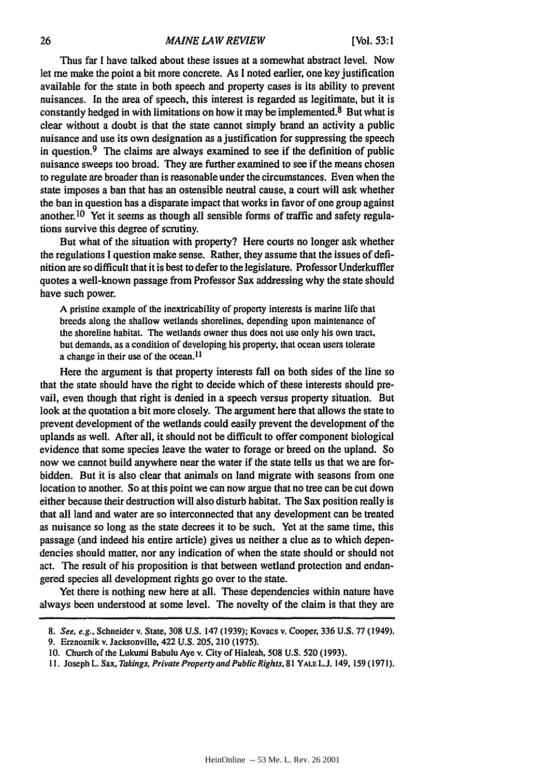Thus far I have talked about these issues at a somewhat abstract level. Now let me make the point a bit more concrete. As **I** noted earlier, one key justification available for the state in both speech and property cases is its ability to prevent nuisances. In the area of speech, this interest is regarded as legitimate, but it is constantly hedged in with limitations on how it may be implemented.<sup>8</sup> But what is clear without a doubt is that the state cannot simply brand an activity a public nuisance and use its own designation as a justification for suppressing the speech in question. $9$  The claims are always examined to see if the definition of public nuisance sweeps too broad. They are further examined to see if the means chosen to regulate are broader than is reasonable under the circumstances. Even when the state imposes a ban that has an ostensible neutral cause, a court will ask whether the ban in question has a disparate impact that works in favor of one group against another. <sup>10</sup> Yet it seems as though all sensible forms of traffic and safety regulations survive this degree of scrutiny.

But what of the situation with property? Here courts no longer ask whether the regulations **I** question make sense. Rather, they assume that the issues of definition are so difficult that it is best to defer to the legislature. Professor Underkuffler quotes a well-known passage from Professor Sax addressing why the state should have such power.

**A** pristine example of the inextricability of property interests is marine life that breeds along the shallow wetlands shorelines, depending upon maintenance of the shoreline habitat. The wetlands owner thus does not use only his own tract. but demands, as a condition of developing his property, that ocean users tolerate a change in their use of the ocean. II

Here the argument is that property interests fall on both sides of the line so that the state should have the right to decide which of these interests should prevail, even though that right is denied in a speech versus property situation. But look at the quotation a bit more closely. The argument here that allows the state to prevent development of the wetlands could easily prevent the development of the uplands as well. After all, it should not be difficult to offer component biological evidence that some species leave the water to forage or breed on the upland. So now we cannot build anywhere near the water if the state tells us that we are forbidden. But it is also clear that animals on land migrate with seasons from one location to another. So at this point we can now argue that no tree can be cut down either because their destruction will also disturb habitat. The Sax position really is that all land and water are so interconnected that any development can be treated as nuisance so long as the state decrees it to be such. Yet at the same time, this passage (and indeed his entire article) gives us neither a clue as to which dependencies should matter, nor any indication of when the state should or should not act. The result of his proposition is that between wetland protection and endangered species all development rights go over to the state.

Yet there is nothing new here at all. These dependencies within nature have always been understood at some level. The novelty of the claim is that they are

*<sup>8.</sup> See, e.g.,* Schneider v. State, 308 U.S. 147 (1939); Kovacs v. Cooper, 336 **U.S.** 77 (1949).

<sup>9.</sup> Erznoznik v. Jacksonville, 422 U.S. 205,210 (1975).

**<sup>10.</sup>** Church of the Lukumi Babulu Aye v. City of Hialeah, 508 U.S. 520 (1993).

**<sup>1</sup>I.** Joseph L. Sax, *Takings, Private Property and Public Rights,* 81 **YALE** L.J. 149, 159 (197 **1).**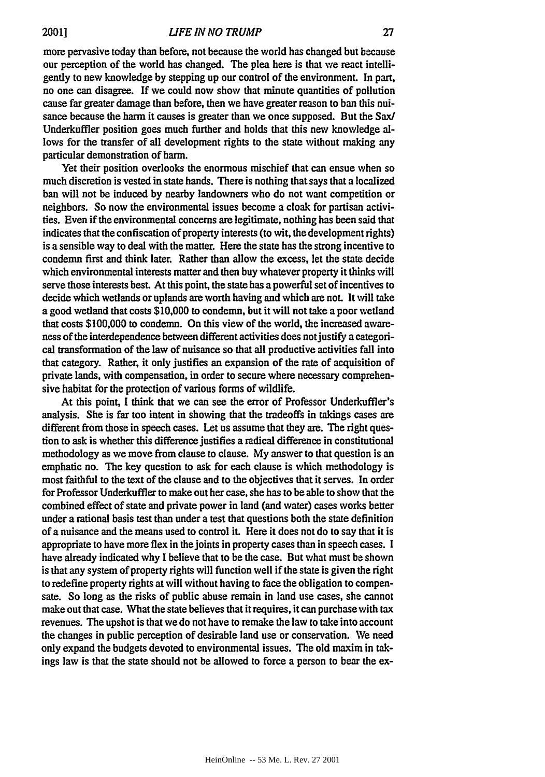more pervasive today than before, not because the world has changed but because our perception of the world has changed. The plea here is that we react intelligently to new knowledge **by** stepping up our control of the environment. In part, no one can disagree. **If** we could now show that minute quantities of pollution cause far greater damage than before, then we have greater reason to ban this nuisance because the harm it causes is greater than we once supposed. But the Sax/ Underkuffler position goes much further and holds that this new knowledge allows for the transfer of all development rights to the state without making any particular demonstration of harm.

Yet their position overlooks the enormous mischief that can ensue when so much discretion is vested in state hands. There is nothing that says that a localized ban will not be induced **by** nearby landowners who do not want competition or neighbors. So now the environmental issues become a cloak for partisan activities. Even if the environmental concerns are legitimate, nothing has been said that indicates that the confiscation of property interests (to wit, the development rights) is a sensible way to deal with the matter. Here the state has the strong incentive to condemn first and think later. Rather than allow the excess, let the state decide which environmental interests matter and then buy whatever property it thinks will serve those interests best. At this point, the state has a powerful set of incentives to decide which wetlands or uplands are worth having and which are not. It will take a good wetland that costs \$10,000 to condemn, but it will not take a poor wetland that costs \$100,000 to condemn. On this view of the world, the increased awareness of the interdependence between different activities does not justify a categorical transformation of the law of nuisance so that all productive activities fall into that category. Rather, it only justifies an expansion of the rate of acquisition of private lands, with compensation, in order to secure where necessary comprehensive habitat for the protection of various forms of wildlife.

At this point, **I** think that we can see the error of Professor Underkuffler's analysis. She is far too intent in showing that the tradeoffs in takings cases are different from those in speech cases. Let us assume that they are. **The** right question to ask is whether this difference justifies a radical difference in constitutional methodology as we move from clause to clause. **My** answer to that question is an emphatic no. The key question to ask for each clause is which methodology is most faithful to the text of the clause and to the objectives that it serves. In order for Professor Underkuffier to make out her case, she has to be able to show that the combined effect of state and private power in land (and water) cases works better under a rational basis test than under a test that questions both the state definition of a nuisance and the means used to control it. Here it does not do to say that it is appropriate to have more flex in the joints in property cases than in speech cases. I have already indicated why I believe that to be the case. But what must be shown is that any system of property rights will function well if the state is given the right to redefine property rights at will without having to face the obligation to compensate. So long as the risks of public abuse remain in land use cases, she cannot make out that case. What the state believes that it requires, it can purchase with tax revenues. The upshot is that we do not have to remake the law to take into account the changes in public perception of desirable land use or conservation. We need only expand the budgets devoted to environmental issues. The old maxim in takings law is that the state should not be allowed to force a person to bear the ex-